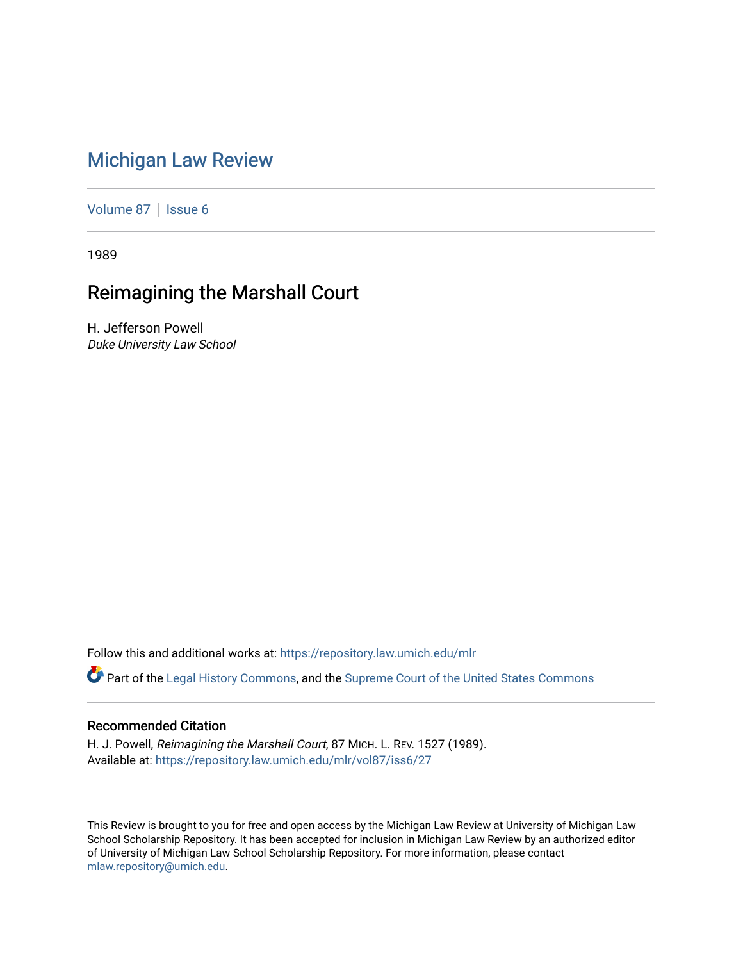# [Michigan Law Review](https://repository.law.umich.edu/mlr)

[Volume 87](https://repository.law.umich.edu/mlr/vol87) | [Issue 6](https://repository.law.umich.edu/mlr/vol87/iss6)

1989

# Reimagining the Marshall Court

H. Jefferson Powell Duke University Law School

Follow this and additional works at: [https://repository.law.umich.edu/mlr](https://repository.law.umich.edu/mlr?utm_source=repository.law.umich.edu%2Fmlr%2Fvol87%2Fiss6%2F27&utm_medium=PDF&utm_campaign=PDFCoverPages) 

Part of the [Legal History Commons](http://network.bepress.com/hgg/discipline/904?utm_source=repository.law.umich.edu%2Fmlr%2Fvol87%2Fiss6%2F27&utm_medium=PDF&utm_campaign=PDFCoverPages), and the [Supreme Court of the United States Commons](http://network.bepress.com/hgg/discipline/1350?utm_source=repository.law.umich.edu%2Fmlr%2Fvol87%2Fiss6%2F27&utm_medium=PDF&utm_campaign=PDFCoverPages) 

## Recommended Citation

H. J. Powell, Reimagining the Marshall Court, 87 MICH. L. REV. 1527 (1989). Available at: [https://repository.law.umich.edu/mlr/vol87/iss6/27](https://repository.law.umich.edu/mlr/vol87/iss6/27?utm_source=repository.law.umich.edu%2Fmlr%2Fvol87%2Fiss6%2F27&utm_medium=PDF&utm_campaign=PDFCoverPages) 

This Review is brought to you for free and open access by the Michigan Law Review at University of Michigan Law School Scholarship Repository. It has been accepted for inclusion in Michigan Law Review by an authorized editor of University of Michigan Law School Scholarship Repository. For more information, please contact [mlaw.repository@umich.edu.](mailto:mlaw.repository@umich.edu)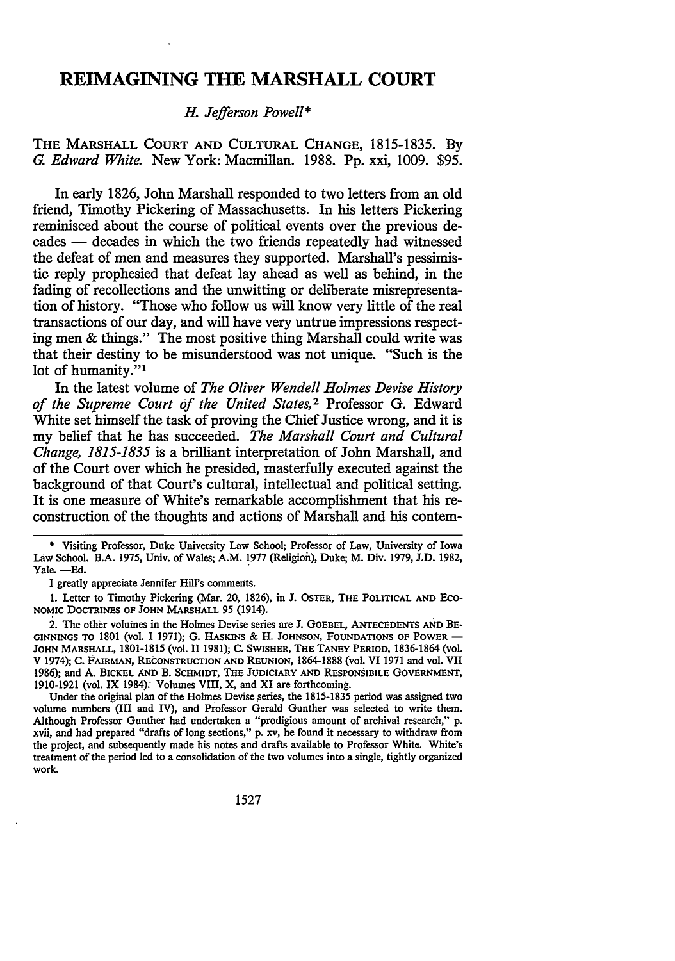## **REIMAGINING THE MARSHALL COURT**

### H. *Jefferson Powell\**

THE MARSHALL COURT AND CULTURAL CHANGE, 1815-1835. By *G. Edward White.* New York: Macmillan. 1988. Pp. xxi, 1009. \$95.

In early 1826, John Marshall responded to two letters from an old friend, Timothy Pickering of Massachusetts. In his letters Pickering reminisced about the course of political events over the previous decades - decades in which the two friends repeatedly had witnessed the defeat of men and measures they supported. Marshall's pessimistic reply prophesied that defeat lay ahead as well as behind, in the fading of recollections and the unwitting or deliberate misrepresentation of history. "Those who follow us will know very little of the real transactions of our day, and will have very untrue impressions respecting men & things." The most positive thing Marshall could write was that their destiny to be misunderstood was not unique. "Such is the lot of humanity."<sup>1</sup>

In the latest volume of *The Oliver Wendell Holmes Devise History of the Supreme Court of the United States,* 2 Professor G. Edward White set himself the task of proving the Chief Justice wrong, and it is my belief that he has succeeded. *The Marshall Court and Cultural Change, 1815-1835* is a brilliant interpretation of John Marshall, and of the Court over which he presided, masterfully executed against the background of that Court's cultural, intellectual and political setting. It is one measure of White's remarkable accomplishment that his reconstruction of the thoughts and actions of Marshall and his contem-

I greatly appreciate Jennifer Hill's comments.

1. Letter to Timothy Pickering (Mar. 20, 1826), in J. OSTER, THE POLITICAL AND Eco-NOMIC DOCTRINES OF JOHN MARSHALL 95 (1914).

2. The other volumes in the Holmes Devise series are J. GOEBEL, ANTECEDENTS AND BE-GINNINGS TO 1801 (vol. I 1971); G. HASKINS & H. JOHNSON, FOUNDATIONS OF POWER -JOHN MARSHALL, 1801-1815 (vol. II 1981); c. SWISHER, THE TANEY PERIOD, 1836-1864 (vol. v 1974); c. FAIRMAN, RECONSTRUCTION AND REUNION, 1864-1888 (vol. VI 1971 and vol. VII 1986); and A. BICKEL AND B. SCHMIDT, THE JUDICIARY AND RESPONSIBILE GOVERNMENT, 1910-1921 (vol. IX 1984): Volumes VIII, X, and XI are forthcoming.

Under the original plan of the Holmes Devise series, the 1815-1835 period was assigned two volume numbers (III and IV), and Professor Gerald Gunther was selected to write them. Although Professor Gunther had undertaken a "prodigious amount of archival research," p. xvii, and had prepared "drafts of long sections," p. xv, he found it necessary to withdraw from the project, and subsequently made his notes and drafts available to Professor White. White's treatment of the period led to a consolidation of the two volumes into a single, tightly organized work.

<sup>•</sup> Visiting Professor, Duke University Law School; Professor of Law, University of Iowa Law School. B.A. 1975, Univ. of Wales; A.M. 1977 (Religion), Duke; M. Div. 1979, J.D. 1982, Yale. - Ed.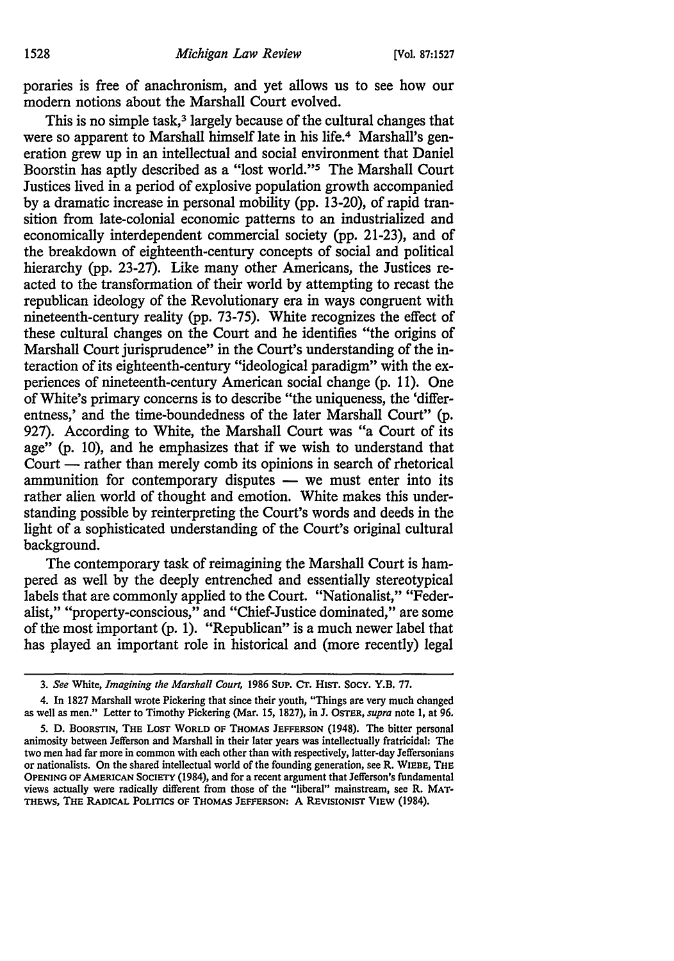poraries is free of anachronism, and yet allows us to see how our modern notions about the Marshall Court evolved.

This is no simple task,<sup>3</sup> largely because of the cultural changes that were so apparent to Marshall himself late in his life.<sup>4</sup> Marshall's generation grew up in an intellectual and social environment that Daniel Boorstin has aptly described as a "lost world."5 The Marshall Court Justices lived in a period of explosive population growth accompanied by a dramatic increase in personal mobility (pp. 13-20), of rapid transition from late-colonial economic patterns to an industrialized and economically interdependent commercial society (pp. 21-23), and of the breakdown of eighteenth-century concepts of social and political hierarchy (pp. 23-27). Like many other Americans, the Justices reacted to the transformation of their world by attempting to recast the republican ideology of the Revolutionary era in ways congruent with nineteenth-century reality (pp. 73-75). White recognizes the effect of these cultural changes on the Court and he identifies "the origins of Marshall Court jurisprudence" in the Court's understanding of the interaction of its eighteenth-century "ideological paradigm" with the experiences of nineteenth-century American social change (p. 11). One of White's primary concerns is to describe "the uniqueness, the 'differentness,' and the time-boundedness of the later Marshall Court" (p. 927). According to White, the Marshall Court was "a Court of its age" (p. 10), and he emphasizes that if we wish to understand that  $Count$  - rather than merely comb its opinions in search of rhetorical ammunition for contemporary disputes - we must enter into its rather alien world of thought and emotion. White makes this understanding possible by reinterpreting the Court's words and deeds in the light of a sophisticated understanding of the Court's original cultural background.

The contemporary task of reimagining the Marshall Court is hampered as well by the deeply entrenched and essentially stereotypical labels that are commonly applied to the Court. "Nationalist," "Federalist," "property-conscious," and "Chief-Justice dominated," are some of the most important (p. 1). "Republican" is a much newer label that has played an important role in historical and (more recently) legal

<sup>3.</sup> *See* White, *Imagining the Marshall Court,* 1986 SUP. Cr. HIST. SOCY. Y.B. 77.

<sup>4.</sup> In 1827 Marshall wrote Pickering that since their youth, "Things are very much changed as well as men." Letter to Timothy Pickering (Mar. 15, 1827), in J. OSTER, *supra* note 1, at 96.

<sup>5.</sup> D. BoORSTIN, THE LOST WORLD OF THOMAS JEFFERSON (1948). The bitter personal animosity between Jefferson and Marshall in their later years was intellectually fratricidal: The two men had far more in common with each other than with respectively, latter-day Jeffersonians or nationalists. On the shared intellectual world of the founding generation, see R. WIEBE, THE OPENING OF AMERICAN SOCIETY (1984), and for a recent argument that Jefferson's fundamental views actually were radically different from those of the "liberal" mainstream, see R. MAT· THEWS, THE RADICAL POLITICS OF THOMAS JEFFERSON: A REVISIONIST VIEW (1984).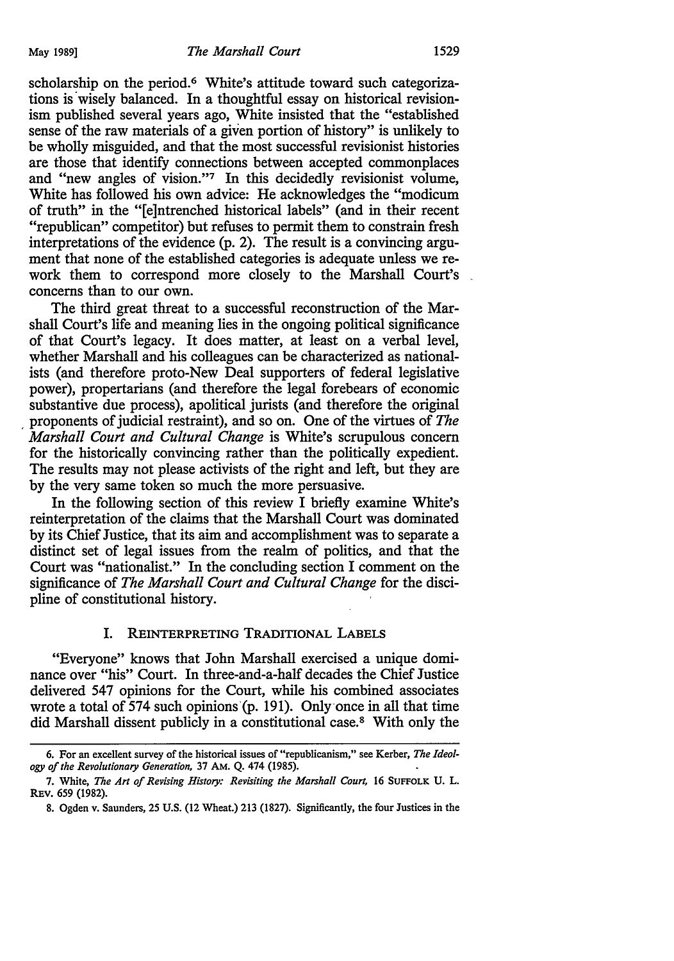scholarship on the period.<sup>6</sup> White's attitude toward such categorizations is wisely balanced. In a thoughtful essay on historical revisionism published several years ago, White insisted that the "established sense of the raw materials of a given portion of history" is unlikely to be wholly misguided, and that the most successful revisionist histories are those that identify connections between accepted commonplaces and "new angles of vision."7 In this decidedly revisionist volume, White has followed his own advice: He acknowledges the "modicum of truth" in the "[e]ntrenched historical labels" (and in their recent "republican" competitor) but refuses to permit them to constrain fresh interpretations of the evidence (p. 2). The result is a convincing argument that none of the established categories is adequate unless we rework them to correspond more closely to the Marshall Court's concerns than to our own.

The third great threat to a successful reconstruction of the Marshall Court's life and meaning lies in the ongoing political significance of that Court's legacy. It does matter, at least on a verbal level, whether Marshall and his colleagues can be characterized as nationalists (and therefore proto-New Deal supporters of federal legislative power), propertarians (and therefore the legal forebears of economic substantive due process), apolitical jurists (and therefore the original , proponents of judicial restraint), and so on. One of the virtues of *The Marshall Court and Cultural Change* is White's scrupulous concern for the historically convincing rather than the politically expedient. The results may not please activists of the right and left, but they are by the very same token so much the more persuasive.

In the following section of this review I briefly examine White's reinterpretation of the claims that the Marshall Court was dominated by its Chief Justice, that its aim and accomplishment was to separate a distinct set of legal issues from the realm of politics, and that the Court was "nationalist." In the concluding section I comment on the significance of *The Marshall Court and Cultural Change* for the discipline of constitutional history.

### I. REINTERPRETING TRADITIONAL LABELS

"Everyone" knows that John Marshall exercised a unique dominance over "his" Court. In three-and-a-half decades the Chief Justice delivered 547 opinions for the Court, while his combined associates wrote a total of 574 such opinions'(p. 191). Only-once in all that time did Marshall dissent publicly in a constitutional case. 8 With only the

<sup>6.</sup> For an excellent survey of the historical issues of "republicanism," see Kerber, *The Ideology of the Revolutionary Generation,* 37 AM. Q. 474 (1985).

<sup>7.</sup> White, *The Art of Revising History: Revisiting the Marshall Court,* 16 SUFFOLK U. L. REV. 659 (1982).

<sup>8.</sup> Ogden v. Saunders, 25 U.S. (12 Wheat.) 213 (1827). Significantly, the four Justices in the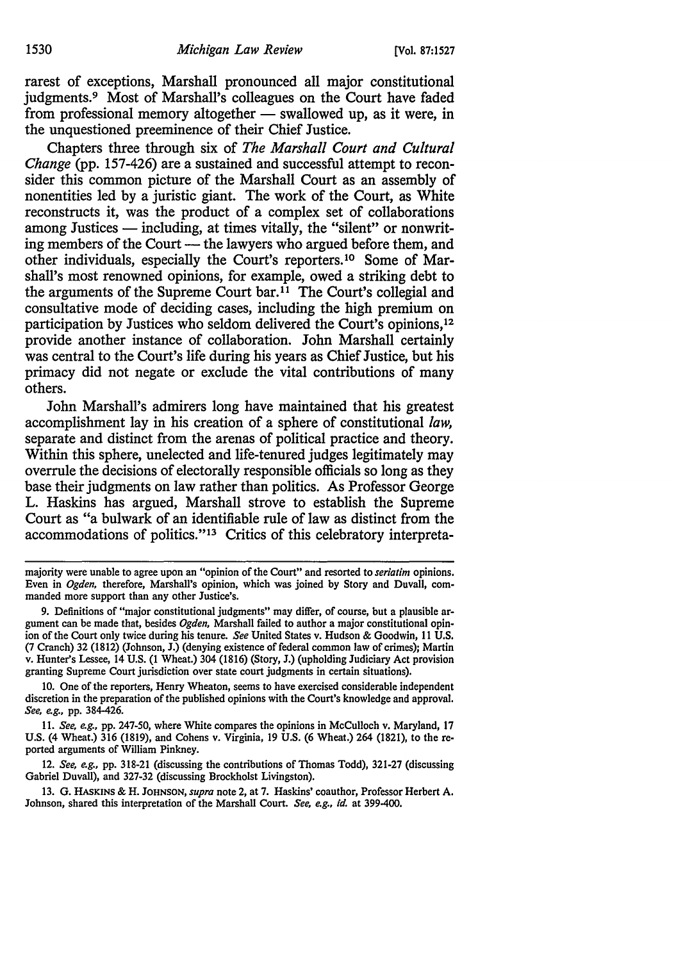rarest of exceptions, Marshall pronounced all major constitutional judgments.9 Most of Marshall's colleagues on the Court have faded from professional memory altogether  $-$  swallowed up, as it were, in the unquestioned preeminence of their Chief Justice.

Chapters three through six of *The Marshall Court and Cultural Change* (pp. 157-426) are a sustained and successful attempt to reconsider this common picture of the Marshall Court as an assembly of nonentities led by a juristic giant. The work of the Court, as White reconstructs it, was the product of a complex set of collaborations among Justices  $-$  including, at times vitally, the "silent" or nonwriting members of the Court - the lawyers who argued before them, and other individuals, especially the Court's reporters.<sup>10</sup> Some of Marshall's most renowned opinions, for example, owed a striking debt to the arguments of the Supreme Court bar.<sup> $11$ </sup> The Court's collegial and consultative mode of deciding cases, including the high premium on participation by Justices who seldom delivered the Court's opinions,12 provide another instance of collaboration. John Marshall certainly was central to the Court's life during his years as Chief Justice, but his primacy did not negate or exclude the vital contributions of many others.

John Marshall's admirers long have maintained that his greatest accomplishment lay in his creation of a sphere of constitutional *law,*  separate and distinct from the arenas of political practice and theory. Within this sphere, unelected and life-tenured judges legitimately may overrule the decisions of electorally responsible officials so long as they base their judgments on law rather than politics. As Professor George L. Haskins has argued, Marshall strove to establish the Supreme Court as "a bulwark of an identifiable rule of law as distinct from the accommodations of politics."<sup>13</sup> Critics of this celebratory interpreta-

9. Definitions of "major constitutional judgments" may differ, of course, but a plausible argument can be made that, besides *Ogden,* Marshall failed to author a major constitutional opin· ion of the Court only twice during his tenure. *See* United States v. Hudson & Goodwin, 11 U.S. (7 Cranch) 32 (1812) (Johnson, J.) (denying existence of federal common law of crimes); Martin v. Hunter's Lessee, 14 U.S. (1 Wheat.) 304 (1816) (Story, J.) (upholding Judiciary Act provision granting Supreme Court jurisdiction over state court judgments in certain situations).

10. One of the reporters, Henry Wheaton, seems to have exercised considerable independent discretion in the preparation of the published opinions with the Court's knowledge and approval. *See, e.g.,* pp. 384-426.

11. *See, e.g.,* pp. 247-50, where White compares the opinions in McCulloch v. Maryland, 17 U.S. (4 Wheat.) 316 (1819), and Cohens v. Virginia, 19 U.S. (6 Wheat.) 264 (1821), to the re· ported arguments of William Pinkney.

12. *See, e.g.,* pp. 318-21 (discussing the contributions of Thomas Todd), 321-27 (discussing Gabriel Duvall), and 327-32 (discussing Brockholst Livingston).

13. G. HASKINS & H. JOHNSON, *supra* note 2, at 7. Haskins' coauthor, Professor Herbert A. Johnson, shared this interpretation of the Marshall Court. *See, e.g., id.* at 399-400.

majority were unable to agree upon an "opinion of the Court" and resorted to *seriatim* opinions. Even in *Ogden*, therefore, Marshall's opinion, which was joined by Story and Duvall, commanded more support than any other Justice's.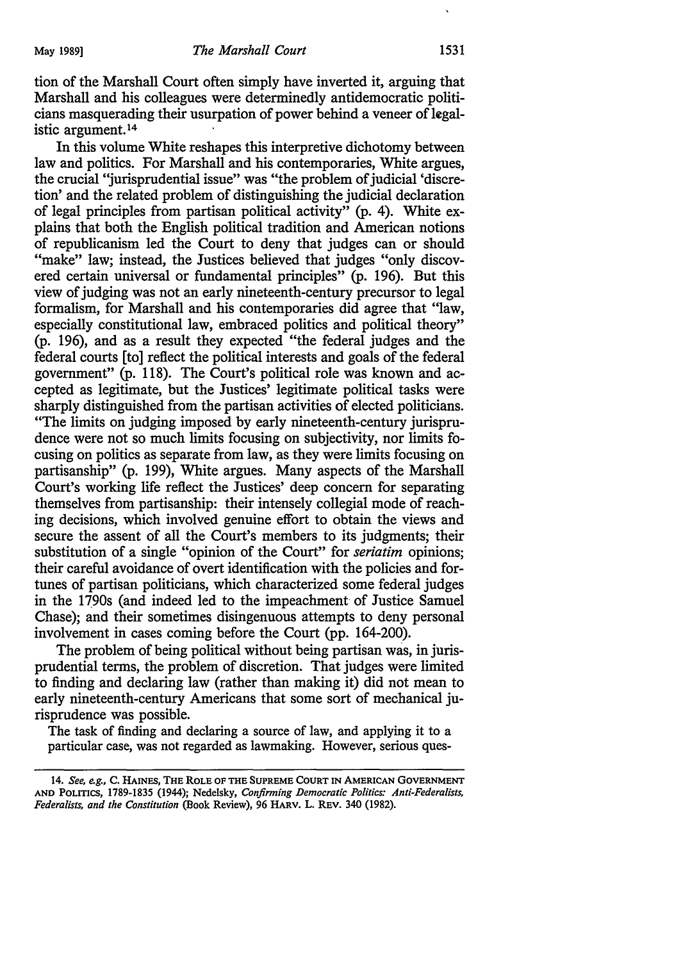tion of the Marshall Court often simply have inverted it, arguing that Marshall and his colleagues were determinedly antidemocratic politicians masquerading their usurpation of power behind a veneer of legalistic argument.14

In this volume White reshapes this interpretive dichotomy between law and politics. For Marshall and his contemporaries, White argues, the crucial "jurisprudential issue" was "the problem of judicial 'discretion' and the related problem of distinguishing the judicial declaration of legal principles from partisan political activity" (p. 4). White explains that both the English political tradition and American notions of republicanism led the Court to deny that judges can or should "make" law; instead, the Justices believed that judges "only discovered certain universal or fundamental principles" (p. 196). But this view of judging was not an early nineteenth-century precursor to legal formalism, for Marshall and his contemporaries did agree that "law, especially constitutional law, embraced politics and political theory" (p. 196), and as a result they expected "the federal judges and the federal courts [to] reflect the political interests and goals of the federal government" (p. 118). The Court's political role was known and accepted as legitimate, but the Justices' legitimate political tasks were sharply distinguished from the partisan activities of elected politicians. "The limits on judging imposed by early nineteenth-century jurisprudence were not so much limits focusing on subjectivity, nor limits focusing on politics as separate from law, as they were limits focusing on partisanship" (p. 199), White argues. Many aspects of the Marshall Court's working life reflect the Justices' deep concern for separating themselves from partisanship: their intensely collegial mode of reaching decisions, which involved genuine effort to obtain the views and secure the assent of all the Court's members to its judgments; their substitution of a single "opinion of the Court" for *seriatim* opinions; their careful avoidance of overt identification with the policies and fortunes of partisan politicians, which characterized some federal judges in the 1790s (and indeed led to the impeachment of Justice Samuel Chase); and their sometimes disingenuous attempts to deny personal involvement in cases coming before the Court (pp. 164-200).

The problem of being political without being partisan was, in jurisprudential terms, the problem of discretion. That judges were limited to finding and declaring law (rather than making it) did not mean to early nineteenth-century Americans that some sort of mechanical jurisprudence was possible.

The task of finding and declaring a source of law, and applying it to a particular case, was not regarded as lawmaking. However, serious ques-

<sup>14.</sup> *See, e.g.,* c. HAINES, THE ROLE OF THE SUPREME COURT IN AMERICAN GOVERNMENT AND PoLmcs, 1789-1835 (1944); Nedelsky, *Confirming Democratic Politics: Anti-Federalists, Federalists, and the Constitution* (Book Review), 96 HARV. L. REV. 340 (1982).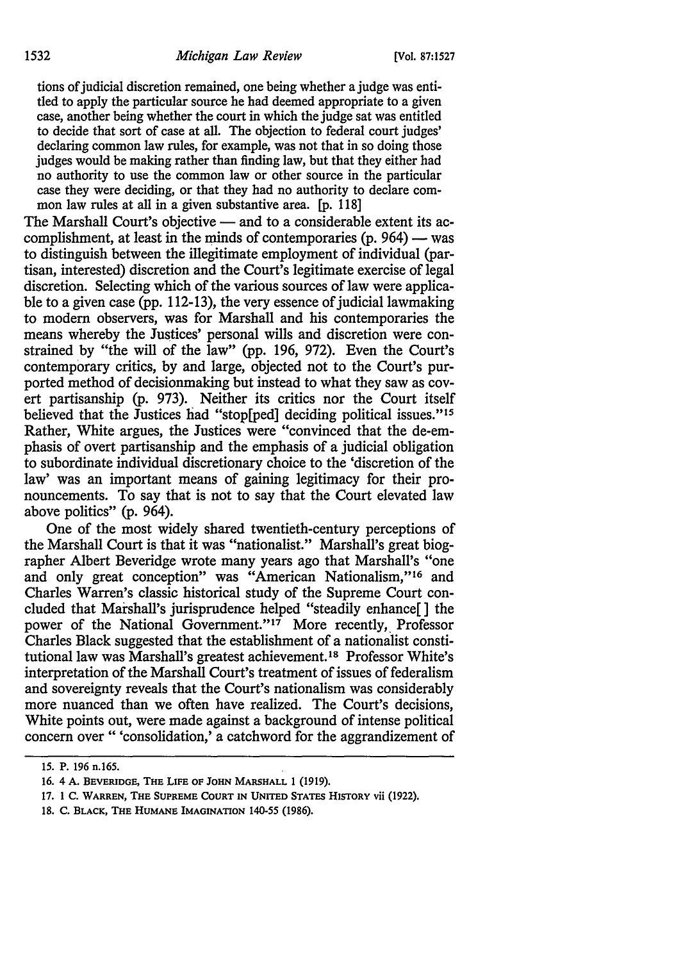tions of judicial discretion remained, one being whether a judge was entitled to apply the particular source he had deemed appropriate to a given case, another being whether the court in which the judge sat was entitled to decide that sort of case at all. The objection to federal court judges' declaring common law rules, for example, was not that in so doing those judges would be making rather than finding law, but that they either had no authority to use the common law or other source in the particular case they were deciding, or that they had no authority to declare common law rules at all in a given substantive area. [p. 118]

The Marshall Court's objective  $\equiv$  and to a considerable extent its accomplishment, at least in the minds of contemporaries  $(p. 964)$  — was to distinguish between the illegitimate employment of individual (partisan, interested) discretion and the Court's legitimate exercise of legal discretion. Selecting which of the various sources of law were applicable to a given case (pp. 112-13), the very essence of judicial lawmaking to modern observers, was for Marshall and his contemporaries the means whereby the Justices' personal wills and discretion were constrained by "the will of the law" (pp. 196, 972). Even the Court's contemporary critics, by and large, objected not to the Court's purported method of decisionmaking but instead to what they saw as covert partisanship (p. 973). Neither its critics nor the Court itself believed that the Justices had "stop[ped] deciding political issues." <sup>15</sup> Rather, White argues, the Justices were "convinced that the de-emphasis of overt partisanship and the emphasis of a judicial obligation to subordinate individual discretionary choice to the 'discretion of the law' was an important means of gaining legitimacy for their pronouncements. To say that is not to say that the Court elevated law above politics" (p. 964).

One of the most widely shared twentieth-century perceptions of the Marshall Court is that it was "nationalist." Marshall's great biographer Albert Beveridge wrote many years ago that Marshall's "one and only great conception" was "American Nationalism,"<sup>16</sup> and Charles Warren's classic historical study of the Supreme Court concluded that Marshall's jurisprudence helped "steadily enhance[ ] the power of the National Government."<sup>17</sup> More recently, Professor Charles Black suggested that the establishment of a nationalist constitutional law was Marshall's greatest achievement. 18 Professor White's interpretation of the Marshall Court's treatment of issues of federalism and sovereignty reveals that the Court's nationalism was considerably more nuanced than we often have realized. The Court's decisions, White points out, were made against a background of intense political concern over " 'consolidation,' a catchword for the aggrandizement of

18. C. BLACK, THE HUMANE IMAGINATION 140-55 (1986).

<sup>15.</sup> P. 196 n.165.

<sup>16. 4</sup> A. BEVERIDGE, THE LIFE OF JOHN MARSHALL 1 (1919).

<sup>17. 1</sup> C. WARREN, THE SUPREME COURT IN UNITED STATES HISTORY vii (1922).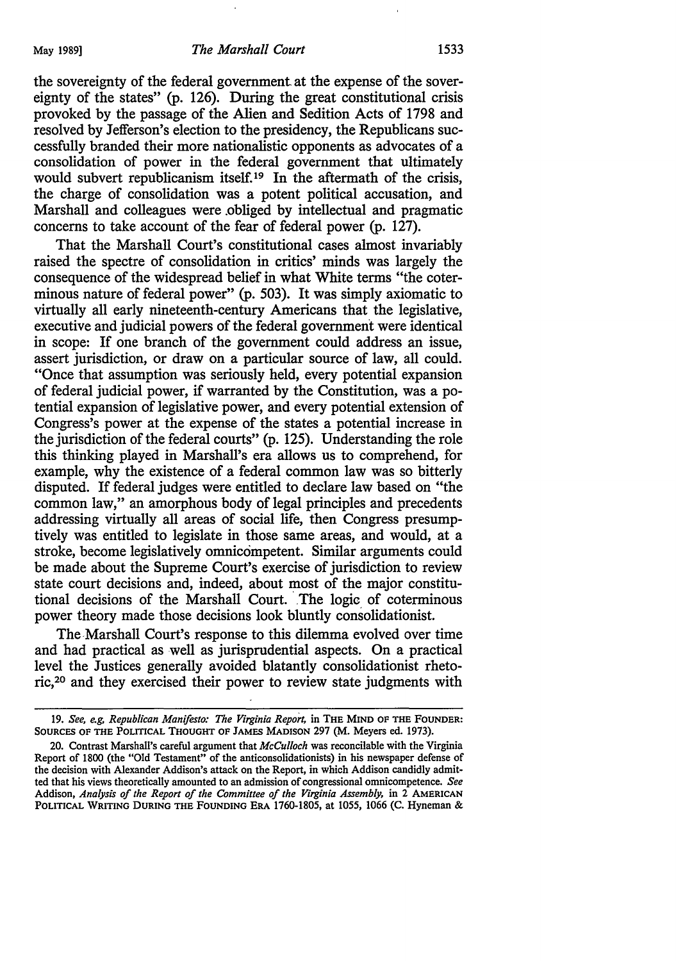the sovereignty of the federal government at the expense of the sovereignty of the states" (p. 126). During the great constitutional crisis provoked by the passage of the Alien and Sedition Acts of 1798 and resolved by Jefferson's election to the presidency, the Republicans successfully branded their more nationalistic opponents as advocates of a consolidation of power in the federal government that ultimately would subvert republicanism itself.<sup>19</sup> In the aftermath of the crisis, the charge of consolidation was a potent political accusation, and Marshall and colleagues were obliged by intellectual and pragmatic concerns to take account of the fear of federal power (p. 127).

That the Marshall Court's constitutional cases almost invariably raised the spectre of consolidation in critics' minds was largely the consequence of the widespread belief in what White terms "the coterminous nature of federal power" (p. 503). It was simply axiomatic to virtually all early nineteenth-century Americans that the legislative, executive and judicial powers of the federal government were identical in scope: If one branch of the government could address an issue, assert jurisdiction, or draw on a particular source of law, all could. "Once that assumption was seriously held, every potential expansion of federal judicial power, if warranted by the Constitution, was a potential expansion of legislative power, and every potential extension of Congress's power at the expense of the states a potential increase in the jurisdiction of the federal courts" (p. 125). Understanding the role this thinking played in Marshall's era allows us to comprehend, for example, why the existence of a federal common law was so bitterly disputed. If federal judges were entitled to declare law based on "the common law," an amorphous body of legal principles and precedents addressing virtually all areas of social life, then Congress presumptively was entitled to legislate in those same areas, and would, at a stroke, become legislatively omnicompetent. Similar arguments could be made about the Supreme Court's exercise of jurisdiction to review state court decisions and, indeed, about most of the major constitutional decisions of the Marshall Court. The logic of coterminous power theory made those decisions look bluntly consolidationist.

The Marshall Court's response to this dilemma evolved over time and had practical as well as jurisprudential aspects. On a practical level the Justices generally avoided blatantly consolidationist rhetoric,20 and they exercised their power to review state judgments with

<sup>19.</sup> *See, e.g, Republican Manifesto: The Virginia Report,* in THE MIND OF THE FOUNDER: SOURCES OF THE POLITICAL THOUGHT OF JAMES MADISON 297 (M. Meyers ed. 1973).

<sup>20.</sup> Contrast Marshall's careful argument that *McCulloch* was reconcilable with the Virginia Report of 1800 (the "Old Testament" of the anticonsolidationists) in his newspaper defense of the decision with Alexander Addison's attack on the Report, in which Addison candidly admitted that his views theoretically amounted to an admission of congressional omnicompetence. *See*  Addison, *Analysis of the Report of the Committee of the Virginia Assembly,* in 2 AMERICAN POLITICAL WRITING DURING THE FOUNDING ERA 1760-1805, at 1055, 1066 (C. Hyneman &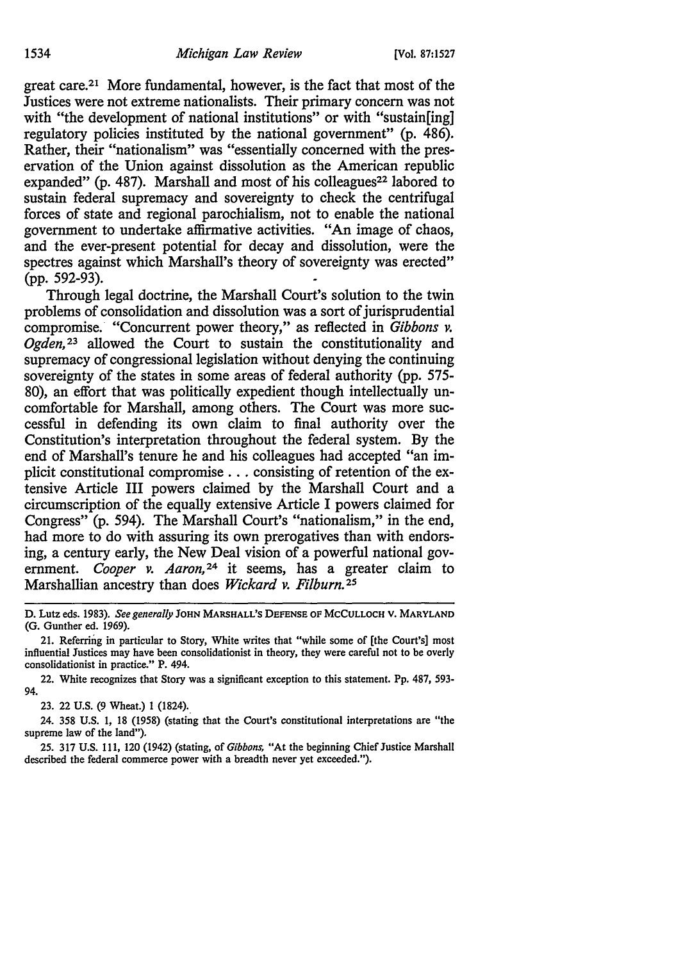great care. 21 More fundamental, however, is the fact that most of the Justices were not extreme nationalists. Their primary concern was not with "the development of national institutions" or with "sustain[ing] regulatory policies instituted by the national government" (p. 486). Rather, their "nationalism" was "essentially concerned with the preservation of the Union against dissolution as the American republic expanded" (p. 487). Marshall and most of his colleagues<sup>22</sup> labored to sustain federal supremacy and sovereignty to check the centrifugal forces of state and regional parochialism, not to enable the national government to undertake affirmative activities. "An image of chaos, and the ever-present potential for decay and dissolution, were the spectres against which Marshall's theory of sovereignty was erected" (pp. 592-93).

Through legal doctrine, the Marshall Court's solution to the twin problems of consolidation and dissolution was a sort of jurisprudential compromise. "Concurrent power theory," as reflected in *Gibbons v. Ogden,* 23 allowed the Court to sustain the constitutionality and supremacy of congressional legislation without denying the continuing sovereignty of the states in some areas of federal authority (pp. 575- 80), an effort that was politically expedient though intellectually uncomfortable for Marshall, among others. The Court was more successful in defending its own claim to final authority over the Constitution's interpretation throughout the federal system. By the end of Marshall's tenure he and his colleagues had accepted "an implicit constitutional compromise ... consisting of retention of the extensive Article III powers claimed by the Marshall Court and a circumscription of the equally extensive Article I powers claimed for Congress" (p. 594). The Marshall Court's "nationalism," in the end, had more to do with assuring its own prerogatives than with endorsing, a century early, the New Deal vision of a powerful national government. *Cooper v. Aaron*,<sup>24</sup> it seems, has a greater claim to Marshallian ancestry than does *Wickard v. Filburn.* 2<sup>5</sup>

23. 22 U.S. (9 Wheat.) 1 (1824).

24. 358 U.S. 1, 18 (1958) (stating that the Court's constitutional interpretations are "the supreme law of the land").

25. 317 U.S. 111, 120 (1942) (stating, of *Gibbons,* "At the beginning Chief Justice Marshall described the federal commerce power with a breadth never yet exceeded.").

D. Lutz eds. 1983). *See generally* JOHN MARSHALL'S DEFENSE OF McCULLOCH v. MARYLAND (G. Gunther ed. 1969).

<sup>21.</sup> Referring in particular to Story, White writes that "while some of [the Court's] most influential Justices may have been consolidationist in theory, they were careful not to be overly consolidationist in practice." P. 494.

<sup>22.</sup> White recognizes that Story was a significant exception to this statement. Pp. 487, 593- 94.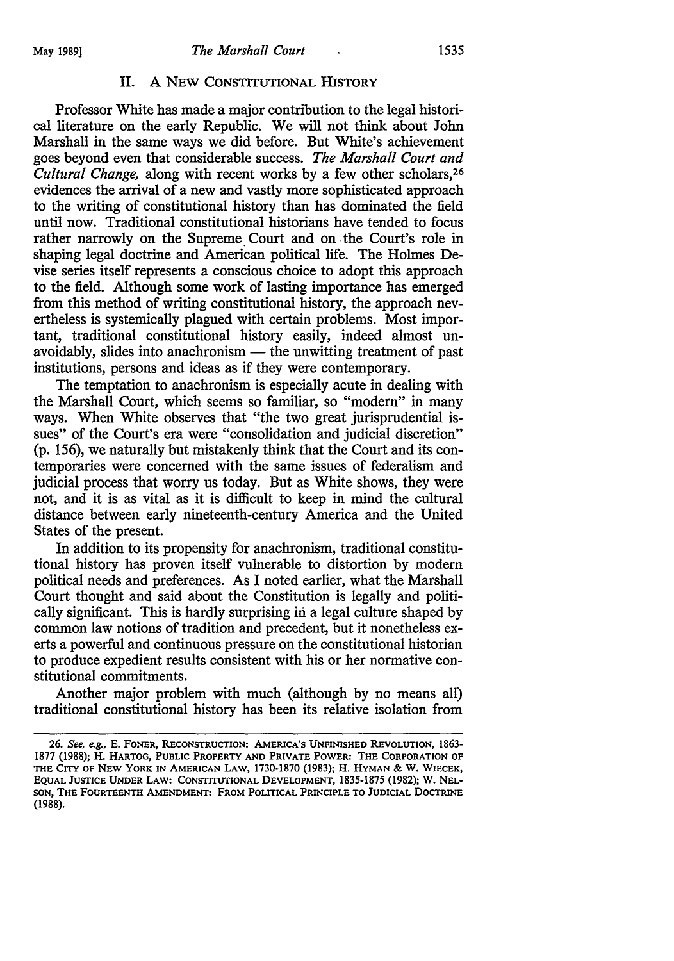#### II. A NEW CONSTITUTIONAL HISTORY

Professor White has made a major contribution to the legal historical literature on the early Republic. We will not think about John Marshall in the same ways we did before. But White's achievement goes beyond even that considerable success. *The Marshall Court and Cultural Change,* along with recent works by a few other scholars,26 evidences the arrival of a new and vastly more sophisticated approach to the writing of constitutional history than has dominated the field until now. Traditional constitutional historians have tended to focus rather narrowly on the Supreme Court and on the Court's role in shaping legal doctrine and American political life. The Holmes Devise series itself represents a conscious choice to adopt this approach to the field. Although some work of lasting importance has emerged from this method of writing constitutional history, the approach nevertheless is systemically plagued with certain problems. Most important, traditional constitutional history easily, indeed almost unavoidably, slides into anachronism  $-$  the unwitting treatment of past institutions, persons and ideas as if they were contemporary.

The temptation to anachronism is especially acute in dealing with the Marshall Court, which seems so familiar, so "modem" in many ways. When White observes that "the two great jurisprudential issues" of the Court's era were "consolidation and judicial discretion" (p. 156), we naturally but mistakenly think that the Court and its contemporaries were concerned with the same issues of federalism and judicial process that worry us today. But as White shows, they were not, and it is as vital as it is difficult to keep in mind the cultural distance between early nineteenth-century America and the United States of the present.

In addition to its propensity for anachronism, traditional constitutional history has proven itself vulnerable to distortion by modem political needs and preferences. As I noted earlier, what the Marshall Court thought and said about the Constitution is legally and politically significant. This is hardly surprising in a legal culture shaped by common law notions of tradition and precedent, but it nonetheless exerts a powerful and continuous pressure on the constitutional historian to produce expedient results consistent with his or her normative constitutional commitments.

Another major problem with much (although by no means all) traditional constitutional history has been its relative isolation from

<sup>26.</sup> *See, e.g.,* E. FONER, RECONSfRUCTION: AMERICA'S UNFINISHED REVOLUTION, 1863- 1877 (1988); H. HARTOG, PUBLIC PROPERTY AND PRIVATE POWER: THE CORPORATION OF THE CITY OF NEW YORK IN AMERICAN LAW, 1730-1870 (1983); H. HYMAN & W. WIECEK, EQUAL JUSTICE UNDER LAW: CONSTITUTIONAL DEVELOPMENT, 1835-1875 (1982); W. NEL-SON, THE FOURTEENTH AMENDMENT: FROM POLITICAL PRINCIPLE TO JUDICIAL DOCTRINE (1988).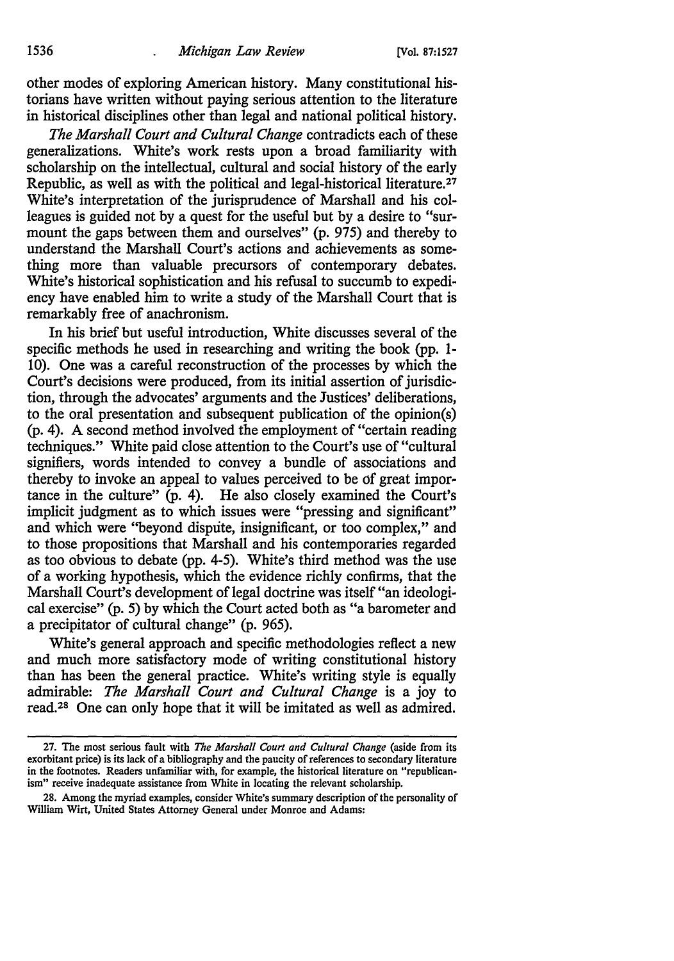other modes of exploring American history. Many constitutional historians have written without paying serious attention to the literature in historical disciplines other than legal and national political history.

*The Marshall Court and Cultural Change* contradicts each of these generalizations. White's work rests upon a broad familiarity with scholarship on the intellectual, cultural and social history of the early Republic, as well as with the political and legal-historical literature.<sup>27</sup> White's interpretation of the jurisprudence of Marshall and his colleagues is guided not by a quest for the useful but by a desire to "surmount the gaps between them and ourselves" (p. 975) and thereby to understand the Marshall Court's actions and achievements as something more than valuable precursors of contemporary debates. White's historical sophistication and his refusal to succumb to expediency have enabled him to write a study of the Marshall Court that is remarkably free of anachronism.

In his brief but useful introduction, White discusses several of the specific methods he used in researching and writing the book (pp. 1- 10). One was a careful reconstruction of the processes by which the Court's decisions were produced, from its initial assertion of jurisdiction, through the advocates' arguments and the Justices' deliberations, to the oral presentation and subsequent publication of the opinion(s) (p. 4). A second method involved the employment of "certain reading techniques." White paid close attention to the Court's use of "cultural signifiers, words intended to convey a bundle of associations and thereby to invoke an appeal to values perceived to be of great importance in the culture" (p. 4). He also closely examined the Court's implicit judgment as to which issues were "pressing and significant" and which were "beyond dispute, insignificant, or too complex," and to those propositions that Marshall and his contemporaries regarded as too obvious to debate (pp. 4-5). White's third method was the use of a working hypothesis, which the evidence richly confirms, that the Marshall Court's development of legal doctrine was itself "an ideological exercise" (p. 5) by which the Court acted both as "a barometer and a precipitator of cultural change" (p. 965).

White's general approach and specific methodologies reflect a new and much more satisfactory mode of writing constitutional history than has been the general practice. White's writing style is equally admirable: *The Marshall Court and Cultural Change* is a joy to read. 28 One can only hope that it will be imitated as well as admired.

<sup>27.</sup> The most serious fault with *The Marshall Court and Cultural Change* (aside from its exorbitant price) is its lack of a bibliography and the paucity of references to secondary literature in the footnotes. Readers unfamiliar with, for example, the historical literature on "republican· ism" receive inadequate assistance from White in locating the relevant scholarship.

<sup>28.</sup> Among the myriad examples, consider White's summary description of the personality of William Wirt, United States Attorney General under Monroe and Adams: